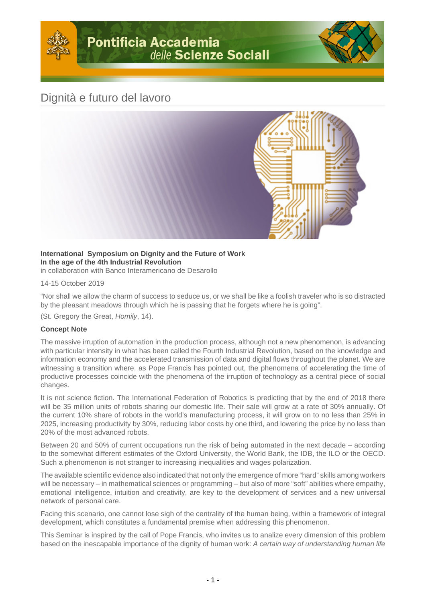## Dignità e futuro del lavoro



## **International Symposium on Dignity and the Future of Work In the age of the 4th Industrial Revolution** in collaboration with Banco Interamericano de Desarollo

14-15 October 2019

"Nor shall we allow the charm of success to seduce us, or we shall be like a foolish traveler who is so distracted by the pleasant meadows through which he is passing that he forgets where he is going".

(St. Gregory the Great, Homily, 14).

## **Concept Note**

The massive irruption of automation in the production process, although not a new phenomenon, is advancing with particular intensity in what has been called the Fourth Industrial Revolution, based on the knowledge and information economy and the accelerated transmission of data and digital flows throughout the planet. We are witnessing a transition where, as Pope Francis has pointed out, the phenomena of accelerating the time of productive processes coincide with the phenomena of the irruption of technology as a central piece of social changes.

It is not science fiction. The International Federation of Robotics is predicting that by the end of 2018 there will be 35 million units of robots sharing our domestic life. Their sale will grow at a rate of 30% annually. Of the current 10% share of robots in the world's manufacturing process, it will grow on to no less than 25% in 2025, increasing productivity by 30%, reducing labor costs by one third, and lowering the price by no less than 20% of the most advanced robots.

Between 20 and 50% of current occupations run the risk of being automated in the next decade – according to the somewhat different estimates of the Oxford University, the World Bank, the IDB, the ILO or the OECD. Such a phenomenon is not stranger to increasing inequalities and wages polarization.

The available scientific evidence also indicated that not only the emergence of more "hard" skills among workers will be necessary – in mathematical sciences or programming – but also of more "soft" abilities where empathy, emotional intelligence, intuition and creativity, are key to the development of services and a new universal network of personal care.

Facing this scenario, one cannot lose sigh of the centrality of the human being, within a framework of integral development, which constitutes a fundamental premise when addressing this phenomenon.

This Seminar is inspired by the call of Pope Francis, who invites us to analize every dimension of this problem based on the inescapable importance of the dignity of human work: A certain way of understanding human life